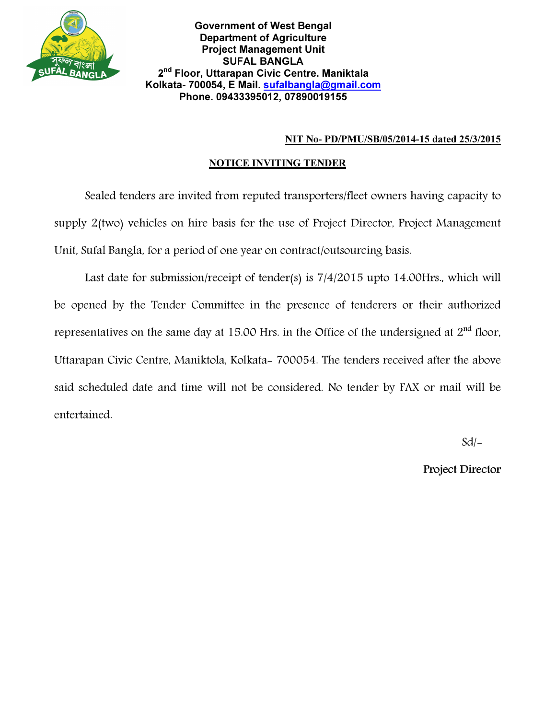

## NIT No- PD/PMU/SB/05/2014-15 dated 25/3/2015

## NOTICE INVITING TENDER

Sealed tenders are invited from reputed transporters/fleet owners having capacity to supply 2(two) vehicles on hire basis for the use of Project Director, Project Management Unit, Sufal Bangla, for a period of one year on contract/outsourcing basis.

Last date for submission/receipt of tender(s) is 7/4/2015 upto 14.00Hrs., which will be opened by the Tender Committee in the presence of tenderers or their authorized representatives on the same day at 15.00 Hrs. in the Office of the undersigned at  $2<sup>nd</sup>$  floor, Uttarapan Civic Centre, Maniktola, Kolkata- 700054. The tenders received after the above said scheduled date and time will not be considered. No tender by FAX or mail will be entertained.

 $Sd$  –

Project Director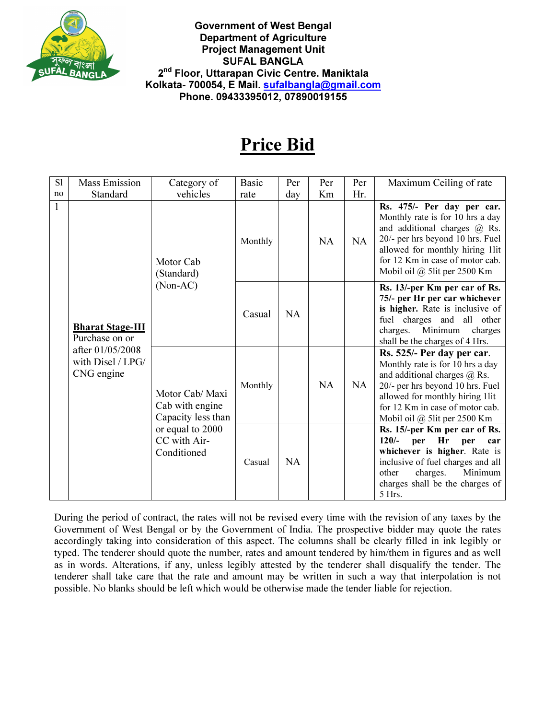

Government of West Bengal Department of Agriculture Project Management Unit SUFAL BANGLA 2<sup>nd</sup> Floor, Uttarapan Civic Centre. Maniktala Kolkata- 700054, E Mail. sufalbangla@gmail.com Phone. 09433395012, 07890019155

## Price Bid

| S1 | <b>Mass Emission</b>                                                                             | Category of                                                                                                 | <b>Basic</b> | Per       | Per       | Per | Maximum Ceiling of rate                                                                                                                                                                                                                                       |
|----|--------------------------------------------------------------------------------------------------|-------------------------------------------------------------------------------------------------------------|--------------|-----------|-----------|-----|---------------------------------------------------------------------------------------------------------------------------------------------------------------------------------------------------------------------------------------------------------------|
| no | Standard                                                                                         | vehicles                                                                                                    | rate         | day       | Km        | Hr. |                                                                                                                                                                                                                                                               |
|    | <b>Bharat Stage-III</b><br>Purchase on or<br>after 01/05/2008<br>with Disel / LPG/<br>CNG engine | Motor Cab<br>(Standard)<br>$(Non-AC)$                                                                       | Monthly      |           | NA        | NA  | Rs. 475/- Per day per car.<br>Monthly rate is for 10 hrs a day<br>and additional charges $\overline{a}$ Rs.<br>20/- per hrs beyond 10 hrs. Fuel<br>allowed for monthly hiring 1lit<br>for 12 Km in case of motor cab.<br>Mobil oil $\omega$ 5 lit per 2500 Km |
|    |                                                                                                  |                                                                                                             | Casual       | <b>NA</b> |           |     | Rs. 13/-per Km per car of Rs.<br>75/- per Hr per car whichever<br>is higher. Rate is inclusive of<br>fuel charges and all other<br>charges. Minimum<br>charges<br>shall be the charges of 4 Hrs.                                                              |
|    |                                                                                                  | Motor Cab/ Maxi<br>Cab with engine<br>Capacity less than<br>or equal to 2000<br>CC with Air-<br>Conditioned | Monthly      |           | <b>NA</b> | NA  | Rs. 525/- Per day per car.<br>Monthly rate is for 10 hrs a day<br>and additional charges $\overline{a}$ , Rs.<br>20/- per hrs beyond 10 hrs. Fuel<br>allowed for monthly hiring 1lit<br>for 12 Km in case of motor cab.<br>Mobil oil @ 5lit per 2500 Km       |
|    |                                                                                                  |                                                                                                             | Casual       | <b>NA</b> |           |     | Rs. 15/-per Km per car of Rs.<br>$120/-$<br>Hr<br>per<br>per<br>car<br>whichever is higher. Rate is<br>inclusive of fuel charges and all<br>Minimum<br>other<br>charges.<br>charges shall be the charges of<br>5 Hrs.                                         |

During the period of contract, the rates will not be revised every time with the revision of any taxes by the Government of West Bengal or by the Government of India. The prospective bidder may quote the rates accordingly taking into consideration of this aspect. The columns shall be clearly filled in ink legibly or typed. The tenderer should quote the number, rates and amount tendered by him/them in figures and as well as in words. Alterations, if any, unless legibly attested by the tenderer shall disqualify the tender. The tenderer shall take care that the rate and amount may be written in such a way that interpolation is not possible. No blanks should be left which would be otherwise made the tender liable for rejection.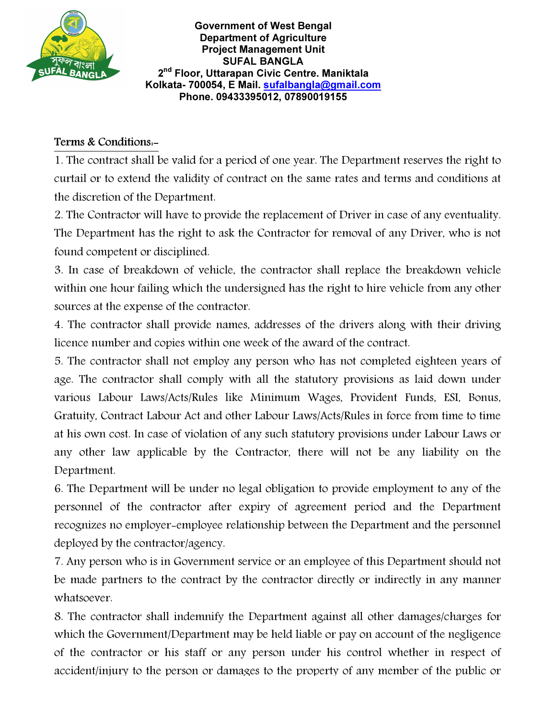

Government of West Bengal Department of Agriculture Project Management Unit SUFAL BANGLA 2<sup>nd</sup> Floor, Uttarapan Civic Centre. Maniktala Kolkata- 700054, E Mail. sufalbangla@gmail.com Phone. 09433395012, 07890019155

## Terms & Conditions:-

1. The contract shall be valid for a period of one year. The Department reserves the right to curtail or to extend the validity of contract on the same rates and terms and conditions at the discretion of the Department.

2. The Contractor will have to provide the replacement of Driver in case of any eventuality. The Department has the right to ask the Contractor for removal of any Driver, who is not found competent or disciplined.

3. In case of breakdown of vehicle, the contractor shall replace the breakdown vehicle within one hour failing which the undersigned has the right to hire vehicle from any other sources at the expense of the contractor.

4. The contractor shall provide names, addresses of the drivers along with their driving licence number and copies within one week of the award of the contract.

5. The contractor shall not employ any person who has not completed eighteen years of age. The contractor shall comply with all the statutory provisions as laid down under various Labour Laws/Acts/Rules like Minimum Wages, Provident Funds, ESI, Bonus, Gratuity, Contract Labour Act and other Labour Laws/Acts/Rules in force from time to time at his own cost. In case of violation of any such statutory provisions under Labour Laws or any other law applicable by the Contractor, there will not be any liability on the Department.

6. The Department will be under no legal obligation to provide employment to any of the personnel of the contractor after expiry of agreement period and the Department recognizes no employer-employee relationship between the Department and the personnel deployed by the contractor/agency.

7. Any person who is in Government service or an employee of this Department should not be made partners to the contract by the contractor directly or indirectly in any manner whatsoever.

8. The contractor shall indemnify the Department against all other damages/charges for which the Government/Department may be held liable or pay on account of the negligence of the contractor or his staff or any person under his control whether in respect of accident/injury to the person or damages to the property of any member of the public or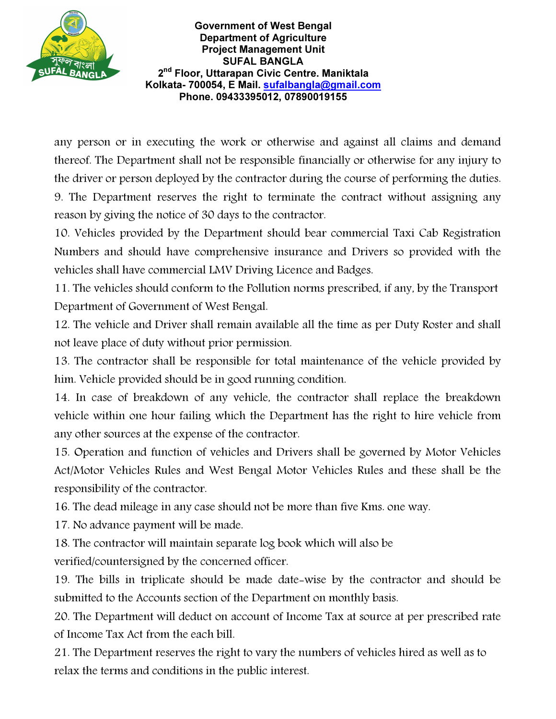

Government of West Bengal Department of Agriculture Project Management Unit SUFAL BANGLA 2<sup>nd</sup> Floor, Uttarapan Civic Centre. Maniktala Kolkata- 700054, E Mail. sufalbangla@gmail.com Phone. 09433395012, 07890019155

any person or in executing the work or otherwise and against all claims and demand thereof. The Department shall not be responsible financially or otherwise for any injury to the driver or person deployed by the contractor during the course of performing the duties. 9. The Department reserves the right to terminate the contract without assigning any reason by giving the notice of 30 days to the contractor.

10. Vehicles provided by the Department should bear commercial Taxi Cab Registration Numbers and should have comprehensive insurance and Drivers so provided with the vehicles shall have commercial LMV Driving Licence and Badges.

11. The vehicles should conform to the Pollution norms prescribed, if any, by the Transport Department of Government of West Bengal.

12. The vehicle and Driver shall remain available all the time as per Duty Roster and shall not leave place of duty without prior permission.

13. The contractor shall be responsible for total maintenance of the vehicle provided by him. Vehicle provided should be in good running condition.

14. In case of breakdown of any vehicle, the contractor shall replace the breakdown vehicle within one hour failing which the Department has the right to hire vehicle from any other sources at the expense of the contractor.

15. Operation and function of vehicles and Drivers shall be governed by Motor Vehicles Act/Motor Vehicles Rules and West Bengal Motor Vehicles Rules and these shall be the responsibility of the contractor.

16. The dead mileage in any case should not be more than five Kms. one way.

17. No advance payment will be made.

18. The contractor will maintain separate log book which will also be

verified/countersigned by the concerned officer.

19. The bills in triplicate should be made date-wise by the contractor and should be submitted to the Accounts section of the Department on monthly basis.

20. The Department will deduct on account of Income Tax at source at per prescribed rate of Income Tax Act from the each bill.

21. The Department reserves the right to vary the numbers of vehicles hired as well as to relax the terms and conditions in the public interest.